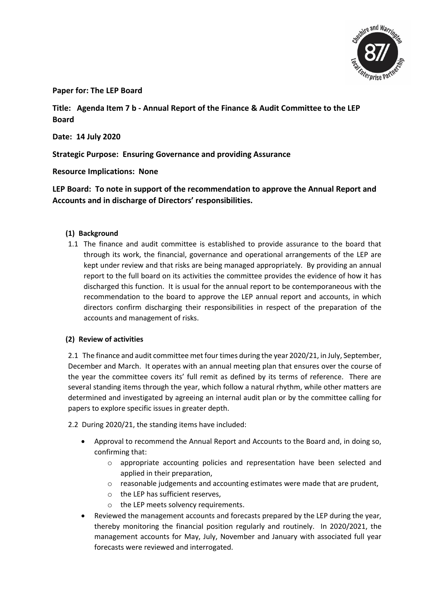

**Paper for: The LEP Board** 

**Title: Agenda Item 7 b - Annual Report of the Finance & Audit Committee to the LEP Board**

**Date: 14 July 2020**

**Strategic Purpose: Ensuring Governance and providing Assurance**

**Resource Implications: None**

**LEP Board: To note in support of the recommendation to approve the Annual Report and Accounts and in discharge of Directors' responsibilities.** 

# **(1) Background**

1.1 The finance and audit committee is established to provide assurance to the board that through its work, the financial, governance and operational arrangements of the LEP are kept under review and that risks are being managed appropriately. By providing an annual report to the full board on its activities the committee provides the evidence of how it has discharged this function. It is usual for the annual report to be contemporaneous with the recommendation to the board to approve the LEP annual report and accounts, in which directors confirm discharging their responsibilities in respect of the preparation of the accounts and management of risks.

# **(2) Review of activities**

2.1 The finance and audit committee met four times during the year 2020/21, in July, September, December and March. It operates with an annual meeting plan that ensures over the course of the year the committee covers its' full remit as defined by its terms of reference. There are several standing items through the year, which follow a natural rhythm, while other matters are determined and investigated by agreeing an internal audit plan or by the committee calling for papers to explore specific issues in greater depth.

2.2 During 2020/21, the standing items have included:

- Approval to recommend the Annual Report and Accounts to the Board and, in doing so, confirming that:
	- o appropriate accounting policies and representation have been selected and applied in their preparation,
	- $\circ$  reasonable judgements and accounting estimates were made that are prudent,
	- o the LEP has sufficient reserves,
	- o the LEP meets solvency requirements.
- Reviewed the management accounts and forecasts prepared by the LEP during the year, thereby monitoring the financial position regularly and routinely. In 2020/2021, the management accounts for May, July, November and January with associated full year forecasts were reviewed and interrogated.